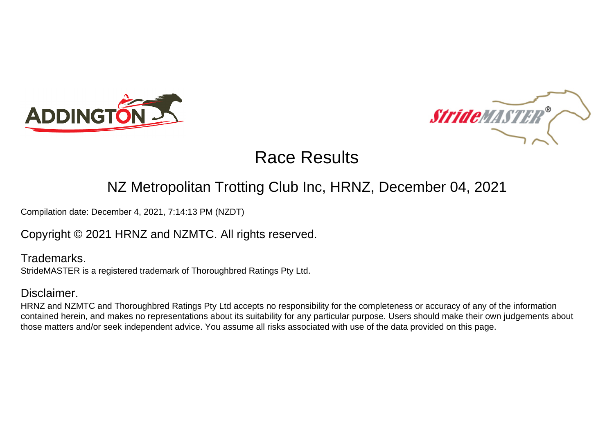



# Race Results

### NZ Metropolitan Trotting Club Inc, HRNZ, December 04, 2021

Compilation date: December 4, 2021, 7:14:13 PM (NZDT)

Copyright © 2021 HRNZ and NZMTC. All rights reserved.

Trademarks. StrideMASTER is a registered trademark of Thoroughbred Ratings Pty Ltd.

#### Disclaimer.

HRNZ and NZMTC and Thoroughbred Ratings Pty Ltd accepts no responsibility for the completeness or accuracy of any of the information contained herein, and makes no representations about its suitability for any particular purpose. Users should make their own judgements about those matters and/or seek independent advice. You assume all risks associated with use of the data provided on this page.